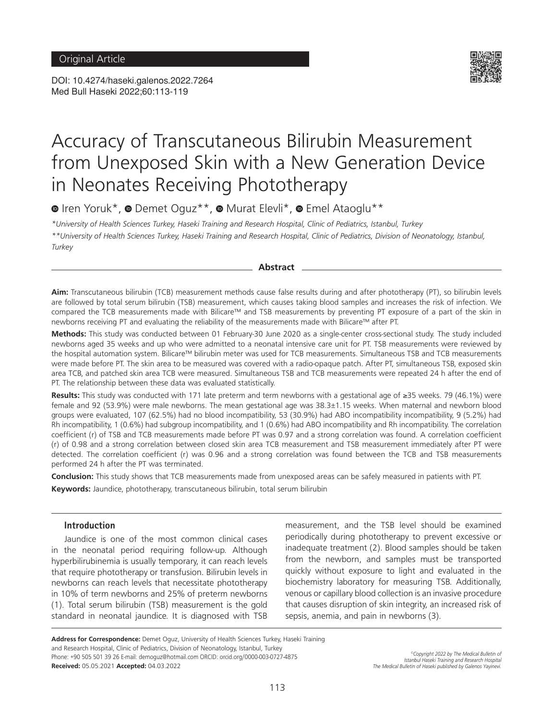DOI: 10.4274/haseki.galenos.2022.7264 Med Bull Haseki 2022;60:113-119



# Accuracy of Transcutaneous Bilirubin Measurement from Unexposed Skin with a New Generation Device in Neonates Receiving Phototherapy

<sup>■</sup>Iren Yoruk\*, ■ Demet Oguz\*\*, ■ Murat Elevli\*, ■ Emel Ataoglu\*\*

*\*University of Health Sciences Turkey, Haseki Training and Research Hospital, Clinic of Pediatrics, Istanbul, Turkey \*\*University of Health Sciences Turkey, Haseki Training and Research Hospital, Clinic of Pediatrics, Division of Neonatology, Istanbul, Turkey*

**Abstract**

**Aim:** Transcutaneous bilirubin (TCB) measurement methods cause false results during and after phototherapy (PT), so bilirubin levels are followed by total serum bilirubin (TSB) measurement, which causes taking blood samples and increases the risk of infection. We compared the TCB measurements made with Bilicare™ and TSB measurements by preventing PT exposure of a part of the skin in newborns receiving PT and evaluating the reliability of the measurements made with Bilicare™ after PT.

**Methods:** This study was conducted between 01 February-30 June 2020 as a single-center cross-sectional study. The study included newborns aged 35 weeks and up who were admitted to a neonatal intensive care unit for PT. TSB measurements were reviewed by the hospital automation system. Bilicare™ bilirubin meter was used for TCB measurements. Simultaneous TSB and TCB measurements were made before PT. The skin area to be measured was covered with a radio-opaque patch. After PT, simultaneous TSB, exposed skin area TCB, and patched skin area TCB were measured. Simultaneous TSB and TCB measurements were repeated 24 h after the end of PT. The relationship between these data was evaluated statistically.

**Results:** This study was conducted with 171 late preterm and term newborns with a gestational age of ≥35 weeks. 79 (46.1%) were female and 92 (53.9%) were male newborns. The mean gestational age was 38.3±1.15 weeks. When maternal and newborn blood groups were evaluated, 107 (62.5%) had no blood incompatibility, 53 (30.9%) had ABO incompatibility incompatibility, 9 (5.2%) had Rh incompatibility, 1 (0.6%) had subgroup incompatibility, and 1 (0.6%) had ABO incompatibility and Rh incompatibility. The correlation coefficient (r) of TSB and TCB measurements made before PT was 0.97 and a strong correlation was found. A correlation coefficient (r) of 0.98 and a strong correlation between closed skin area TCB measurement and TSB measurement immediately after PT were detected. The correlation coefficient (r) was 0.96 and a strong correlation was found between the TCB and TSB measurements performed 24 h after the PT was terminated.

**Conclusion:** This study shows that TCB measurements made from unexposed areas can be safely measured in patients with PT. **Keywords:** Jaundice, phototherapy, transcutaneous bilirubin, total serum bilirubin

# **Introduction**

Jaundice is one of the most common clinical cases in the neonatal period requiring follow-up. Although hyperbilirubinemia is usually temporary, it can reach levels that require phototherapy or transfusion. Bilirubin levels in newborns can reach levels that necessitate phototherapy in 10% of term newborns and 25% of preterm newborns (1). Total serum bilirubin (TSB) measurement is the gold standard in neonatal jaundice. It is diagnosed with TSB

measurement, and the TSB level should be examined periodically during phototherapy to prevent excessive or inadequate treatment (2). Blood samples should be taken from the newborn, and samples must be transported quickly without exposure to light and evaluated in the biochemistry laboratory for measuring TSB. Additionally, venous or capillary blood collection is an invasive procedure that causes disruption of skin integrity, an increased risk of sepsis, anemia, and pain in newborns (3).

**Address for Correspondence:** Demet Oguz, University of Health Sciences Turkey, Haseki Training and Research Hospital, Clinic of Pediatrics, Division of Neonatology, Istanbul, Turkey Phone: +90 505 501 39 26 E-mail: demoguz@hotmail.com ORCID: orcid.org/0000-003-0727-4875 **Received:** 05.05.2021 **Accepted:** 04.03.2022

*©Copyright 2022 by The Medical Bulletin of Istanbul Haseki Training and Research Hospital The Medical Bulletin of Haseki published by Galenos Yayinevi.*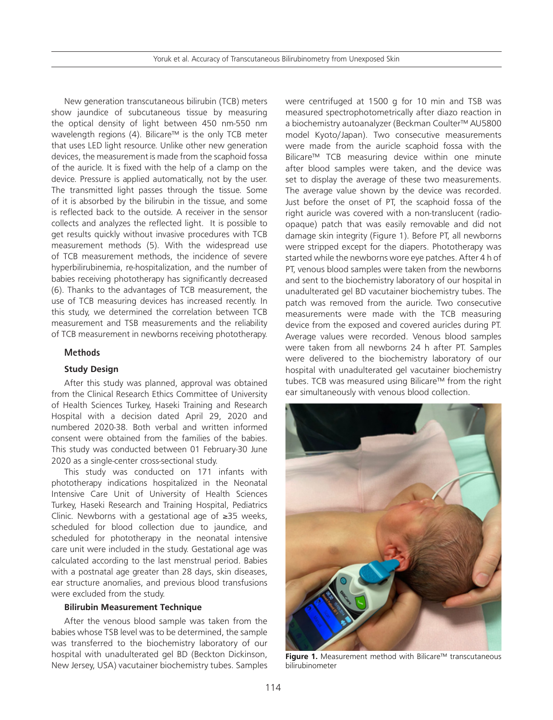Yoruk et al. Accuracy of Transcutaneous Bilirubinometry from Unexposed Skin

New generation transcutaneous bilirubin (TCB) meters show jaundice of subcutaneous tissue by measuring the optical density of light between 450 nm-550 nm wavelength regions (4). Bilicare™ is the only TCB meter that uses LED light resource. Unlike other new generation devices, the measurement is made from the scaphoid fossa of the auricle. It is fixed with the help of a clamp on the device. Pressure is applied automatically, not by the user. The transmitted light passes through the tissue. Some of it is absorbed by the bilirubin in the tissue, and some is reflected back to the outside. A receiver in the sensor collects and analyzes the reflected light. It is possible to get results quickly without invasive procedures with TCB measurement methods (5). With the widespread use of TCB measurement methods, the incidence of severe hyperbilirubinemia, re-hospitalization, and the number of babies receiving phototherapy has significantly decreased (6). Thanks to the advantages of TCB measurement, the use of TCB measuring devices has increased recently. In this study, we determined the correlation between TCB measurement and TSB measurements and the reliability of TCB measurement in newborns receiving phototherapy.

# **Methods**

#### **Study Design**

After this study was planned, approval was obtained from the Clinical Research Ethics Committee of University of Health Sciences Turkey, Haseki Training and Research Hospital with a decision dated April 29, 2020 and numbered 2020-38. Both verbal and written informed consent were obtained from the families of the babies. This study was conducted between 01 February-30 June 2020 as a single-center cross-sectional study.

This study was conducted on 171 infants with phototherapy indications hospitalized in the Neonatal Intensive Care Unit of University of Health Sciences Turkey, Haseki Research and Training Hospital, Pediatrics Clinic. Newborns with a gestational age of ≥35 weeks, scheduled for blood collection due to jaundice, and scheduled for phototherapy in the neonatal intensive care unit were included in the study. Gestational age was calculated according to the last menstrual period. Babies with a postnatal age greater than 28 days, skin diseases, ear structure anomalies, and previous blood transfusions were excluded from the study.

# **Bilirubin Measurement Technique**

After the venous blood sample was taken from the babies whose TSB level was to be determined, the sample was transferred to the biochemistry laboratory of our hospital with unadulterated gel BD (Beckton Dickinson, New Jersey, USA) vacutainer biochemistry tubes. Samples were centrifuged at 1500 g for 10 min and TSB was measured spectrophotometrically after diazo reaction in a biochemistry autoanalyzer (Beckman Coulter™ AU5800 model Kyoto/Japan). Two consecutive measurements were made from the auricle scaphoid fossa with the Bilicare™ TCB measuring device within one minute after blood samples were taken, and the device was set to display the average of these two measurements. The average value shown by the device was recorded. Just before the onset of PT, the scaphoid fossa of the right auricle was covered with a non-translucent (radioopaque) patch that was easily removable and did not damage skin integrity (Figure 1). Before PT, all newborns were stripped except for the diapers. Phototherapy was started while the newborns wore eye patches. After 4 h of PT, venous blood samples were taken from the newborns and sent to the biochemistry laboratory of our hospital in unadulterated gel BD vacutainer biochemistry tubes. The patch was removed from the auricle. Two consecutive measurements were made with the TCB measuring device from the exposed and covered auricles during PT. Average values were recorded. Venous blood samples were taken from all newborns 24 h after PT. Samples were delivered to the biochemistry laboratory of our hospital with unadulterated gel vacutainer biochemistry tubes. TCB was measured using Bilicare™ from the right ear simultaneously with venous blood collection.



**Figure 1.** Measurement method with Bilicare™ transcutaneous bilirubinometer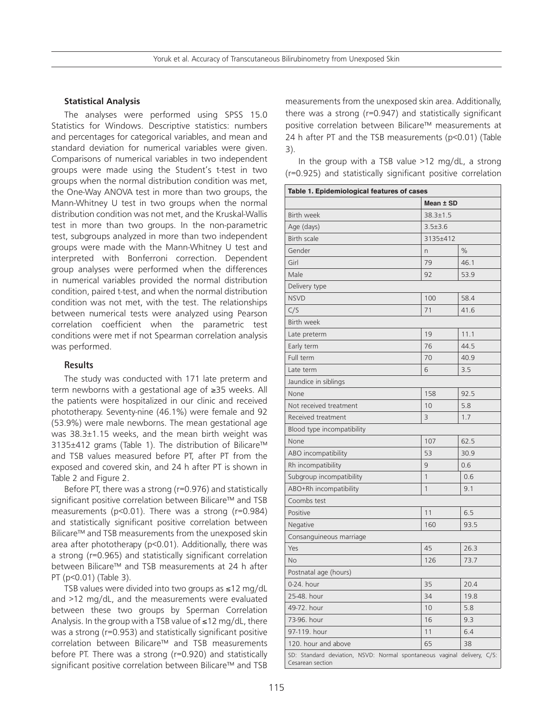# **Statistical Analysis**

The analyses were performed using SPSS 15.0 Statistics for Windows. Descriptive statistics: numbers and percentages for categorical variables, and mean and standard deviation for numerical variables were given. Comparisons of numerical variables in two independent groups were made using the Student's t-test in two groups when the normal distribution condition was met, the One-Way ANOVA test in more than two groups, the Mann-Whitney U test in two groups when the normal distribution condition was not met, and the Kruskal-Wallis test in more than two groups. In the non-parametric test, subgroups analyzed in more than two independent groups were made with the Mann-Whitney U test and interpreted with Bonferroni correction. Dependent group analyses were performed when the differences in numerical variables provided the normal distribution condition, paired t-test, and when the normal distribution condition was not met, with the test. The relationships between numerical tests were analyzed using Pearson correlation coefficient when the parametric test conditions were met if not Spearman correlation analysis was performed.

#### **Results**

The study was conducted with 171 late preterm and term newborns with a gestational age of ≥35 weeks. All the patients were hospitalized in our clinic and received phototherapy. Seventy-nine (46.1%) were female and 92 (53.9%) were male newborns. The mean gestational age was 38.3±1.15 weeks, and the mean birth weight was 3135±412 grams (Table 1). The distribution of Bilicare™ and TSB values measured before PT, after PT from the exposed and covered skin, and 24 h after PT is shown in Table 2 and Figure 2.

Before PT, there was a strong (r=0.976) and statistically significant positive correlation between Bilicare™ and TSB measurements (p<0.01). There was a strong (r=0.984) and statistically significant positive correlation between Bilicare™ and TSB measurements from the unexposed skin area after phototherapy (p<0.01). Additionally, there was a strong (r=0.965) and statistically significant correlation between Bilicare™ and TSB measurements at 24 h after PT (p<0.01) (Table 3).

TSB values were divided into two groups as ≤12 mg/dL and >12 mg/dL, and the measurements were evaluated between these two groups by Sperman Correlation Analysis. In the group with a TSB value of ≤12 mg/dL, there was a strong (r=0.953) and statistically significant positive correlation between Bilicare™ and TSB measurements before PT. There was a strong (r=0.920) and statistically significant positive correlation between Bilicare™ and TSB

measurements from the unexposed skin area. Additionally, there was a strong (r=0.947) and statistically significant positive correlation between Bilicare™ measurements at 24 h after PT and the TSB measurements (p<0.01) (Table 3).

In the group with a TSB value >12 mg/dL, a strong (r=0.925) and statistically significant positive correlation

| Table 1. Epidemiological features of cases                                                  |                |      |  |  |
|---------------------------------------------------------------------------------------------|----------------|------|--|--|
|                                                                                             | Mean ± SD      |      |  |  |
| <b>Birth week</b>                                                                           | $38.3 \pm 1.5$ |      |  |  |
| Age (days)                                                                                  | $3.5 \pm 3.6$  |      |  |  |
| <b>Birth scale</b>                                                                          | 3135±412       |      |  |  |
| Gender                                                                                      | n              | $\%$ |  |  |
| Girl                                                                                        | 79             | 46.1 |  |  |
| Male                                                                                        | 92             | 53.9 |  |  |
| Delivery type                                                                               |                |      |  |  |
| <b>NSVD</b>                                                                                 | 100            | 58.4 |  |  |
| C/S                                                                                         | 71             | 41.6 |  |  |
| Birth week                                                                                  |                |      |  |  |
| Late preterm                                                                                | 19             | 11.1 |  |  |
| Early term                                                                                  | 76             | 44.5 |  |  |
| Full term                                                                                   | 70             | 40.9 |  |  |
| Late term                                                                                   | 6              | 3.5  |  |  |
| Jaundice in siblings                                                                        |                |      |  |  |
| None                                                                                        | 158            | 92.5 |  |  |
| Not received treatment                                                                      | 10             | 5.8  |  |  |
| Received treatment                                                                          | 3              | 1.7  |  |  |
| Blood type incompatibility                                                                  |                |      |  |  |
| None                                                                                        | 107            | 62.5 |  |  |
| ABO incompatibility                                                                         | 53             | 30.9 |  |  |
| Rh incompatibility                                                                          | 9              | 0.6  |  |  |
| Subgroup incompatibility                                                                    | 1              | 0.6  |  |  |
| ABO+Rh incompatibility                                                                      | 1              | 9.1  |  |  |
| Coombs test                                                                                 |                |      |  |  |
| Positive                                                                                    | 11             | 6.5  |  |  |
| Negative                                                                                    | 160            | 93.5 |  |  |
| Consanguineous marriage                                                                     |                |      |  |  |
| Yes                                                                                         | 45             | 26.3 |  |  |
| No                                                                                          | 126            | 73.7 |  |  |
| Postnatal age (hours)                                                                       |                |      |  |  |
| 0-24. hour                                                                                  | 35             | 20.4 |  |  |
| 25-48. hour                                                                                 | 34             | 19.8 |  |  |
| 49-72, hour                                                                                 | 10             | 5.8  |  |  |
| 73-96. hour                                                                                 | 16             | 9.3  |  |  |
| 97-119. hour                                                                                | 11             | 6.4  |  |  |
| 120. hour and above                                                                         | 65             | 38   |  |  |
| SD: Standard deviation, NSVD: Normal spontaneous vaginal delivery, C/S:<br>Cesarean section |                |      |  |  |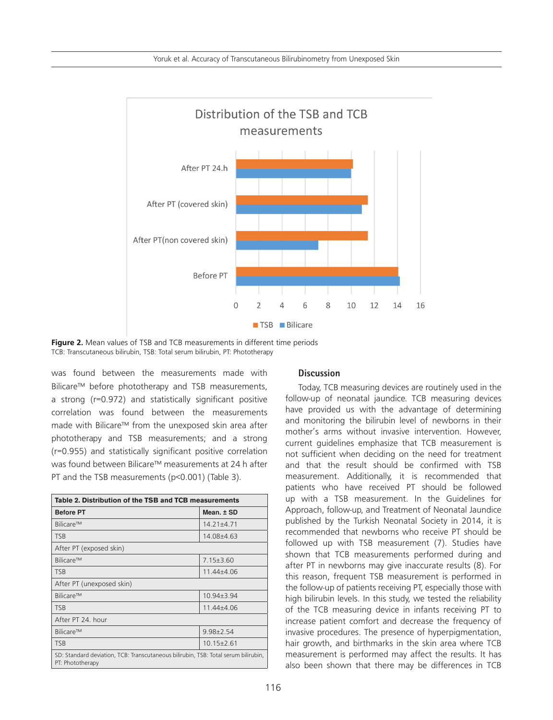

**Figure 2.** Mean values of TSB and TCB measurements in different time periods TCB: Transcutaneous bilirubin, TSB: Total serum bilirubin, PT: Phototherapy

was found between the measurements made with Bilicare<sup>™</sup> before phototherapy and TSB measurements, a strong (r=0.972) and statistically significant positive correlation was found between the measurements made with Bilicare™ from the unexposed skin area after phototherapy and TSB measurements; and a strong (r=0.955) and statistically significant positive correlation was found between Bilicare™ measurements at 24 h after PT and the TSB measurements (p<0.001) (Table 3).

| Table 2. Distribution of the TSB and TCB measurements                                                  |                  |  |  |
|--------------------------------------------------------------------------------------------------------|------------------|--|--|
| <b>Before PT</b>                                                                                       | Mean. ± SD       |  |  |
| Bilicare™                                                                                              | $14.21 \pm 4.71$ |  |  |
| <b>TSB</b>                                                                                             | 14.08±4.63       |  |  |
| After PT (exposed skin)                                                                                |                  |  |  |
| Bilicare™                                                                                              | $7.15 \pm 3.60$  |  |  |
| <b>TSB</b>                                                                                             | 11.44±4.06       |  |  |
| After PT (unexposed skin)                                                                              |                  |  |  |
| Bilicare™                                                                                              | $10.94 \pm 3.94$ |  |  |
| <b>TSB</b>                                                                                             | $11.44 \pm 4.06$ |  |  |
| After PT 24, hour                                                                                      |                  |  |  |
| Bilicare™                                                                                              | $9.98 + 2.54$    |  |  |
| <b>TSB</b>                                                                                             | $10.15 \pm 2.61$ |  |  |
| SD: Standard deviation, TCB: Transcutaneous bilirubin, TSB: Total serum bilirubin,<br>PT: Phototherapy |                  |  |  |

# **Discussion**

Today, TCB measuring devices are routinely used in the follow-up of neonatal jaundice. TCB measuring devices have provided us with the advantage of determining and monitoring the bilirubin level of newborns in their mother's arms without invasive intervention. However, current guidelines emphasize that TCB measurement is not sufficient when deciding on the need for treatment and that the result should be confirmed with TSB measurement. Additionally, it is recommended that patients who have received PT should be followed up with a TSB measurement. In the Guidelines for Approach, follow-up, and Treatment of Neonatal Jaundice published by the Turkish Neonatal Society in 2014, it is recommended that newborns who receive PT should be followed up with TSB measurement (7). Studies have shown that TCB measurements performed during and after PT in newborns may give inaccurate results (8). For this reason, frequent TSB measurement is performed in the follow-up of patients receiving PT, especially those with high bilirubin levels. In this study, we tested the reliability of the TCB measuring device in infants receiving PT to increase patient comfort and decrease the frequency of invasive procedures. The presence of hyperpigmentation, hair growth, and birthmarks in the skin area where TCB measurement is performed may affect the results. It has also been shown that there may be differences in TCB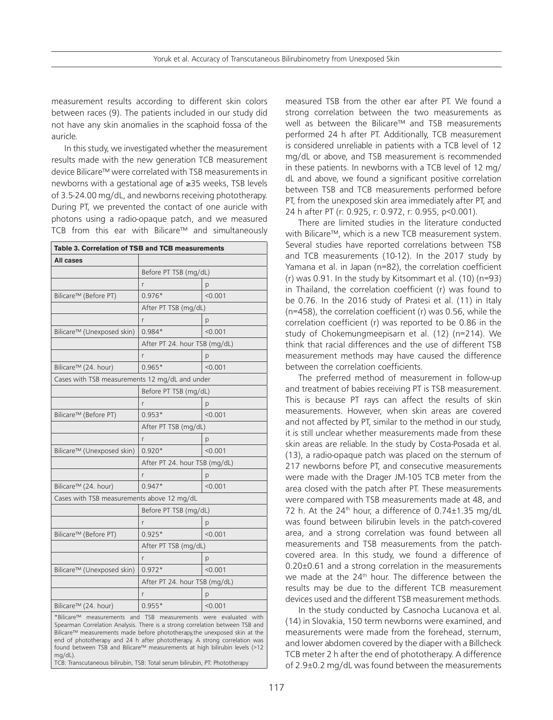measurement results according to different skin colors between races (9). The patients included in our study did not have any skin anomalies in the scaphoid fossa of the auricle.

In this study, we investigated whether the measurement results made with the new generation TCB measurement device Bilicare™ were correlated with TSB measurements in newborns with a gestational age of ≥35 weeks, TSB levels of 3.5-24.00 mg/dL, and newborns receiving phototherapy. During PT, we prevented the contact of one auricle with photons using a radio-opaque patch, and we measured TCB from this ear with Bilicare™ and simultaneously

| Table 3. Correlation of TSB and TCB measurements                                                                                                                                                                                                                                                                                                                                                                                                                                       |                               |         |
|----------------------------------------------------------------------------------------------------------------------------------------------------------------------------------------------------------------------------------------------------------------------------------------------------------------------------------------------------------------------------------------------------------------------------------------------------------------------------------------|-------------------------------|---------|
| All cases                                                                                                                                                                                                                                                                                                                                                                                                                                                                              |                               |         |
|                                                                                                                                                                                                                                                                                                                                                                                                                                                                                        | Before PT TSB (mg/dL)         |         |
|                                                                                                                                                                                                                                                                                                                                                                                                                                                                                        | r                             | p       |
| Bilicare™ (Before PT)                                                                                                                                                                                                                                                                                                                                                                                                                                                                  | $0.976*$                      | < 0.001 |
|                                                                                                                                                                                                                                                                                                                                                                                                                                                                                        | After PT TSB (mg/dL)          |         |
|                                                                                                                                                                                                                                                                                                                                                                                                                                                                                        | r                             | p       |
| Bilicare™ (Unexposed skin)                                                                                                                                                                                                                                                                                                                                                                                                                                                             | $0.984*$                      | < 0.001 |
|                                                                                                                                                                                                                                                                                                                                                                                                                                                                                        | After PT 24. hour TSB (mg/dL) |         |
|                                                                                                                                                                                                                                                                                                                                                                                                                                                                                        | r                             | р       |
| Bilicare™ (24. hour)                                                                                                                                                                                                                                                                                                                                                                                                                                                                   | $0.965*$                      | < 0.001 |
| Cases with TSB measurements 12 mg/dL and under                                                                                                                                                                                                                                                                                                                                                                                                                                         |                               |         |
|                                                                                                                                                                                                                                                                                                                                                                                                                                                                                        | Before PT TSB (mg/dL)         |         |
|                                                                                                                                                                                                                                                                                                                                                                                                                                                                                        | r                             | p       |
| Bilicare™ (Before PT)                                                                                                                                                                                                                                                                                                                                                                                                                                                                  | $0.953*$                      | < 0.001 |
|                                                                                                                                                                                                                                                                                                                                                                                                                                                                                        | After PT TSB (mg/dL)          |         |
|                                                                                                                                                                                                                                                                                                                                                                                                                                                                                        | r                             | p       |
| Bilicare™ (Unexposed skin)                                                                                                                                                                                                                                                                                                                                                                                                                                                             | $0.920*$                      | < 0.001 |
|                                                                                                                                                                                                                                                                                                                                                                                                                                                                                        | After PT 24. hour TSB (mg/dL) |         |
|                                                                                                                                                                                                                                                                                                                                                                                                                                                                                        | r                             | р       |
| Bilicare™ (24. hour)                                                                                                                                                                                                                                                                                                                                                                                                                                                                   | $0.947*$                      | < 0.001 |
| Cases with TSB measurements above 12 mg/dL                                                                                                                                                                                                                                                                                                                                                                                                                                             |                               |         |
|                                                                                                                                                                                                                                                                                                                                                                                                                                                                                        | Before PT TSB (mg/dL)         |         |
|                                                                                                                                                                                                                                                                                                                                                                                                                                                                                        | r                             | p       |
| Bilicare™ (Before PT)                                                                                                                                                                                                                                                                                                                                                                                                                                                                  | $0.925*$                      | < 0.001 |
|                                                                                                                                                                                                                                                                                                                                                                                                                                                                                        | After PT TSB (mg/dL)          |         |
|                                                                                                                                                                                                                                                                                                                                                                                                                                                                                        | r                             | p       |
| Bilicare™ (Unexposed skin)                                                                                                                                                                                                                                                                                                                                                                                                                                                             | $0.972*$                      | < 0.001 |
|                                                                                                                                                                                                                                                                                                                                                                                                                                                                                        | After PT 24. hour TSB (mg/dL) |         |
|                                                                                                                                                                                                                                                                                                                                                                                                                                                                                        | r                             | p       |
| Bilicare™ (24. hour)                                                                                                                                                                                                                                                                                                                                                                                                                                                                   | $0.955*$                      | < 0.001 |
| *Bilicare™ measurements and TSB measurements were evaluated with<br>Spearman Correlation Analysis. There is a strong correlation between TSB and<br>Bilicare™ measurements made before phototherapy, the unexposed skin at the<br>end of phototherapy and 24 h after phototherapy. A strong correlation was<br>found between TSB and Bilicare™ measurements at high bilirubin levels (>12<br>$mq/dL$ ).<br>TCB: Transcutaneous bilirubin, TSB: Total serum bilirubin, PT: Phototherapy |                               |         |

measured TSB from the other ear after PT. We found a strong correlation between the two measurements as well as between the Bilicare™ and TSB measurements performed 24 h after PT. Additionally, TCB measurement is considered unreliable in patients with a TCB level of 12 mg/dL or above, and TSB measurement is recommended in these patients. In newborns with a TCB level of 12 mg/ dL and above, we found a significant positive correlation between TSB and TCB measurements performed before PT, from the unexposed skin area immediately after PT, and 24 h after PT (r: 0.925, r: 0.972, r: 0.955, p<0.001).

There are limited studies in the literature conducted with Bilicare™, which is a new TCB measurement system. Several studies have reported correlations between TSB and TCB measurements (10-12). In the 2017 study by Yamana et al. in Japan (n=82), the correlation coefficient (r) was 0.91. In the study by Kitsommart et al. (10) (n=93) in Thailand, the correlation coefficient (r) was found to be 0.76. In the 2016 study of Pratesi et al. (11) in Italy (n=458), the correlation coefficient (r) was 0.56, while the correlation coefficient (r) was reported to be 0.86 in the study of Chokemungmeepisarn et al. (12) (n=214). We think that racial differences and the use of different TSB measurement methods may have caused the difference between the correlation coefficients.

The preferred method of measurement in follow-up and treatment of babies receiving PT is TSB measurement. This is because PT rays can affect the results of skin measurements. However, when skin areas are covered and not affected by PT, similar to the method in our study, it is still unclear whether measurements made from these skin areas are reliable. In the study by Costa-Posada et al. (13), a radio-opaque patch was placed on the sternum of 217 newborns before PT, and consecutive measurements were made with the Drager JM-105 TCB meter from the area closed with the patch after PT. These measurements were compared with TSB measurements made at 48, and 72 h. At the  $24<sup>th</sup>$  hour, a difference of 0.74 $\pm$ 1.35 mg/dL was found between bilirubin levels in the patch-covered area, and a strong correlation was found between all measurements and TSB measurements from the patchcovered area. In this study, we found a difference of 0.20±0.61 and a strong correlation in the measurements we made at the 24<sup>th</sup> hour. The difference between the results may be due to the different TCB measurement devices used and the different TSB measurement methods.

In the study conducted by Casnocha Lucanova et al. (14) in Slovakia, 150 term newborns were examined, and measurements were made from the forehead, sternum, and lower abdomen covered by the diaper with a Billcheck TCB meter 2 h after the end of phototherapy. A difference of 2.9±0.2 mg/dL was found between the measurements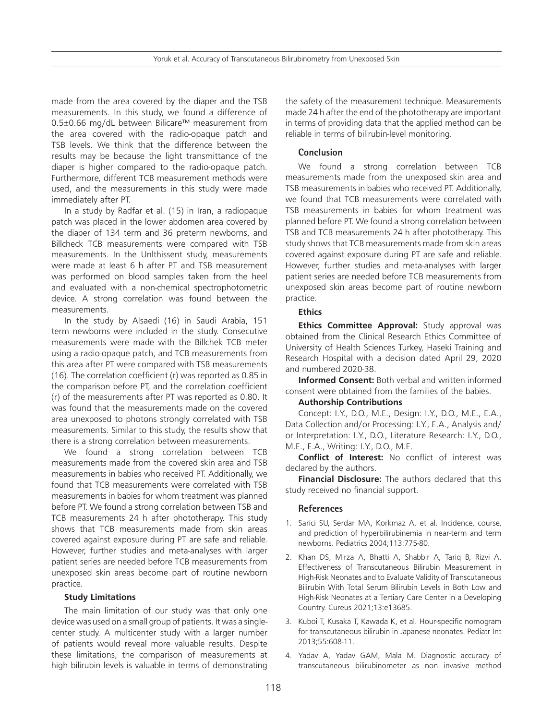made from the area covered by the diaper and the TSB measurements. In this study, we found a difference of 0.5±0.66 mg/dL between Bilicare™ measurement from the area covered with the radio-opaque patch and TSB levels. We think that the difference between the results may be because the light transmittance of the diaper is higher compared to the radio-opaque patch. Furthermore, different TCB measurement methods were used, and the measurements in this study were made immediately after PT.

In a study by Radfar et al. (15) in Iran, a radiopaque patch was placed in the lower abdomen area covered by the diaper of 134 term and 36 preterm newborns, and Billcheck TCB measurements were compared with TSB measurements. In the Unlthissent study, measurements were made at least 6 h after PT and TSB measurement was performed on blood samples taken from the heel and evaluated with a non-chemical spectrophotometric device. A strong correlation was found between the measurements.

In the study by Alsaedi (16) in Saudi Arabia, 151 term newborns were included in the study. Consecutive measurements were made with the Billchek TCB meter using a radio-opaque patch, and TCB measurements from this area after PT were compared with TSB measurements (16). The correlation coefficient (r) was reported as 0.85 in the comparison before PT, and the correlation coefficient (r) of the measurements after PT was reported as 0.80. It was found that the measurements made on the covered area unexposed to photons strongly correlated with TSB measurements. Similar to this study, the results show that there is a strong correlation between measurements.

We found a strong correlation between TCB measurements made from the covered skin area and TSB measurements in babies who received PT. Additionally, we found that TCB measurements were correlated with TSB measurements in babies for whom treatment was planned before PT. We found a strong correlation between TSB and TCB measurements 24 h after phototherapy. This study shows that TCB measurements made from skin areas covered against exposure during PT are safe and reliable. However, further studies and meta-analyses with larger patient series are needed before TCB measurements from unexposed skin areas become part of routine newborn practice.

#### **Study Limitations**

The main limitation of our study was that only one device was used on a small group of patients. It was a singlecenter study. A multicenter study with a larger number of patients would reveal more valuable results. Despite these limitations, the comparison of measurements at high bilirubin levels is valuable in terms of demonstrating

the safety of the measurement technique. Measurements made 24 h after the end of the phototherapy are important in terms of providing data that the applied method can be reliable in terms of bilirubin-level monitoring.

#### **Conclusion**

We found a strong correlation between TCB measurements made from the unexposed skin area and TSB measurements in babies who received PT. Additionally, we found that TCB measurements were correlated with TSB measurements in babies for whom treatment was planned before PT. We found a strong correlation between TSB and TCB measurements 24 h after phototherapy. This study shows that TCB measurements made from skin areas covered against exposure during PT are safe and reliable. However, further studies and meta-analyses with larger patient series are needed before TCB measurements from unexposed skin areas become part of routine newborn practice.

#### **Ethics**

**Ethics Committee Approval:** Study approval was obtained from the Clinical Research Ethics Committee of University of Health Sciences Turkey, Haseki Training and Research Hospital with a decision dated April 29, 2020 and numbered 2020-38.

**Informed Consent:** Both verbal and written informed consent were obtained from the families of the babies.

### **Authorship Contributions**

Concept: I.Y., D.O., M.E., Design: I.Y., D.O., M.E., E.A., Data Collection and/or Processing: I.Y., E.A., Analysis and/ or Interpretation: I.Y., D.O., Literature Research: I.Y., D.O., M.E., E.A., Writing: I.Y., D.O., M.E.

**Conflict of Interest:** No conflict of interest was declared by the authors.

**Financial Disclosure:** The authors declared that this study received no financial support.

#### **References**

- 1. Sarici SU, Serdar MA, Korkmaz A, et al. Incidence, course, and prediction of hyperbilirubinemia in near-term and term newborns. Pediatrics 2004;113:775-80.
- 2. Khan DS, Mirza A, Bhatti A, Shabbir A, Tariq B, Rizvi A. Effectiveness of Transcutaneous Bilirubin Measurement in High-Risk Neonates and to Evaluate Validity of Transcutaneous Bilirubin With Total Serum Bilirubin Levels in Both Low and High-Risk Neonates at a Tertiary Care Center in a Developing Country. Cureus 2021;13:e13685.
- 3. Kuboi T, Kusaka T, Kawada K, et al. Hour-specific nomogram for transcutaneous bilirubin in Japanese neonates. Pediatr Int 2013;55:608-11.
- 4. Yadav A, Yadav GAM, Mala M. Diagnostic accuracy of transcutaneous bilirubinometer as non invasive method